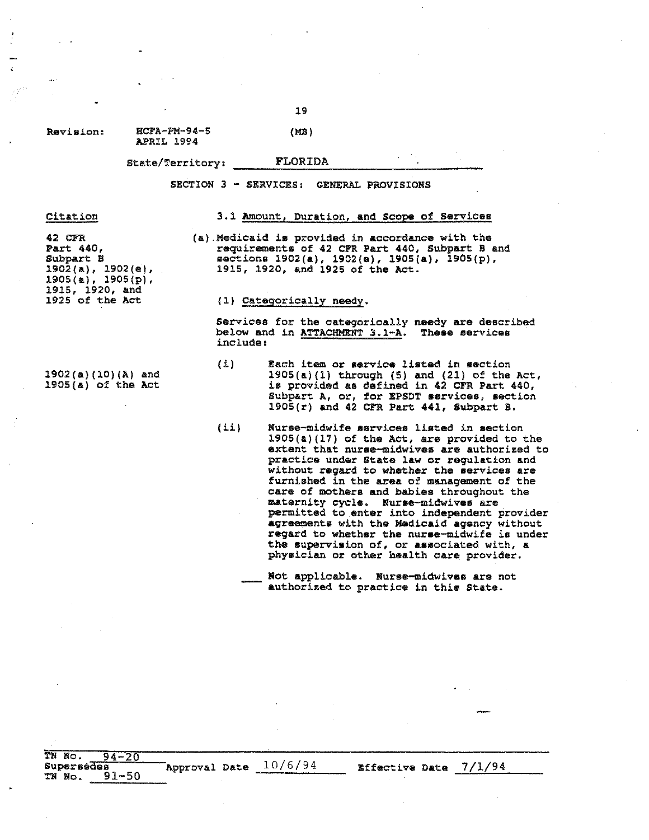Revieion: HCFA-PM-94-5

APRIL 1994

State/Territory, FLORIDA

SECTION 3 - SERVICES, GENERAL PROVISIONS

### Citation

### 3.1 Amount, Duration, and scope of Services

*<sup>42</sup> cn* Part 440, Subpart B 1902(a),1902(e),  $1905(a), 1905(p),$ 1915, 1920, and 1925 of the Act

1902(a)(10)(A) and 1905(a) of the Act

(a).Medicaid is provided in accordance with the requirements of 42 CFR Part 440, Subpart B and sections 1902(a), 1902(e), 1905(a), 1905(p), 1915, 1920, and 1925 of the Act.

### (1) Categorically needy.

Services for the categorically needy are described below and in ATTACHMENT 3.1-A. These services include:

- $(i)$  Each item or service listed in section 1905(a)(1) through (5) and (21) of the Act, is provided as defined in 42 CFR Part 440, Subpart A, or, for EPSDT services, section 1905(r) and 42 CFR Part 441, Subpart B.
- (ii) Nurse-midwife services listed in section 1905(&)(17) of the Act, are provided to the extent that nurse-midwives are authorized to practice under State law or requlation and without regard to whether the services are furnished in the area of management of the care of mothers and babies throughout the maternity cycle. Nuree-midwives are permitted to enter into independent provider agreements with the Medicaid agency without regard to whether the nuree-midwife is under the supervision of, or associated with, a phyaician or other health care provider.

TN No. 94-20 supersedes<br>TN No. 91-50 Approval Date  $\frac{10/6/94}{\pi}$  Effective Date 7/1/94

19

(MB)

Not applicable. Nurae-midwives are not authorized to practice in this State.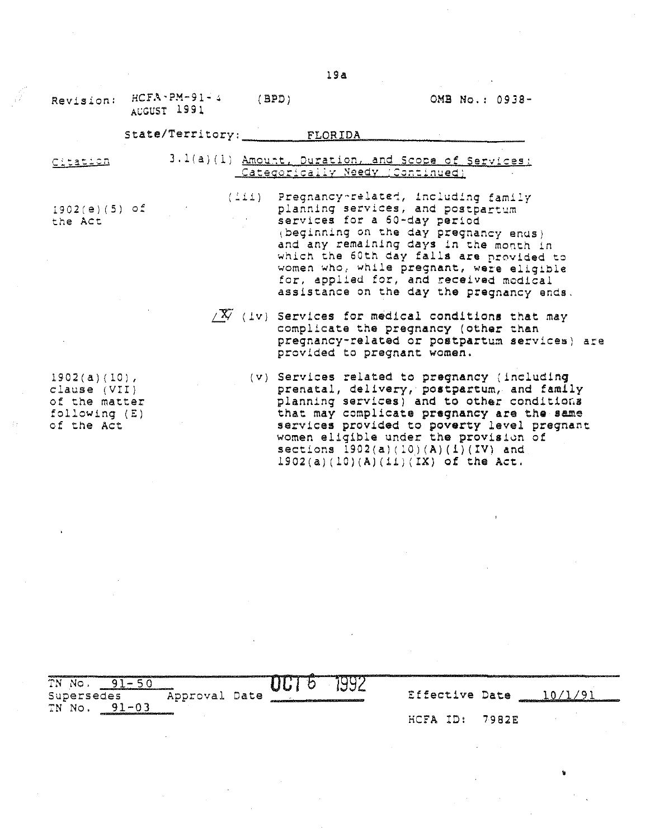•

| Revision:                                                                         | $HCFA - PM - 91 - 4$<br>AUGUST 1991 | (BPD)                                                                                 | OMB No.: 0938-                                                                                                                                                                                                                                                                                                                                                 |
|-----------------------------------------------------------------------------------|-------------------------------------|---------------------------------------------------------------------------------------|----------------------------------------------------------------------------------------------------------------------------------------------------------------------------------------------------------------------------------------------------------------------------------------------------------------------------------------------------------------|
|                                                                                   |                                     | State/Territory: FLORIDA                                                              |                                                                                                                                                                                                                                                                                                                                                                |
| Citation                                                                          |                                     | 3.1(a)(1) Amount, Duration, and Scope of Services:<br>Categorically Needy (Continued) |                                                                                                                                                                                                                                                                                                                                                                |
| $1902(e)(5)$ of<br>the Act                                                        |                                     | (iii) Pregnancy-related, including family<br>services for a 60-day period             | planning services, and postpartum<br>(beginning on the day pregnancy ends)<br>and any remaining days in the month in<br>which the 60th day falls are provided to<br>women who, while pregnant, were eligible<br>for, applied for, and received modical<br>assistance on the day the pregnancy ends.                                                            |
|                                                                                   |                                     | provided to pregnant women.                                                           | $\sqrt{X}$ (iv) Services for medical conditions that may<br>complicate the pregnancy (other than<br>pregnancy-related or postpartum services) are                                                                                                                                                                                                              |
| $1902(a)(10)$ ,<br>clause (VII)<br>of the matter<br>following $(E)$<br>of the Act |                                     |                                                                                       | (v) Services related to pregnancy (including<br>prenatal, delivery, postpartum, and family<br>planning services) and to other conditions<br>that may complicate pregnancy are the same<br>services provided to poverty level pregnant<br>women eligible under the provision of<br>sections $1902(a)(10)(A)(1)(IV)$ and<br>$1902(a)(10)(A)(11)(1X)$ of the Act. |

| TN No.<br>distant and company of the company of the company of the company of the company of the company of the company of<br>Supersedes<br>$01 - 02$<br>TN No. | Approval Date | a manazara a manazarta a 1999 na manazarta a 1999 na manazarta a 1999 na manazarta a 1999 na manazarta a 1999<br>organization in product to a confidential contribution of a product in the factor of | ، سال<br>. J J L |      |     | Effective Date | the contract of the contract of the contract of the contract of the contract of the contract of the contract of the contract of the contract of the contract of the contract of the contract of the contract of the contract o |  |
|-----------------------------------------------------------------------------------------------------------------------------------------------------------------|---------------|-------------------------------------------------------------------------------------------------------------------------------------------------------------------------------------------------------|------------------|------|-----|----------------|--------------------------------------------------------------------------------------------------------------------------------------------------------------------------------------------------------------------------------|--|
| AND CONTINUES OF A REPORT OF A 49 YO F REPORT OF A 49 YO F REPORTED                                                                                             |               |                                                                                                                                                                                                       |                  | HCFA | ID: | 7982E          |                                                                                                                                                                                                                                |  |

 $\hat{\mathcal{A}}$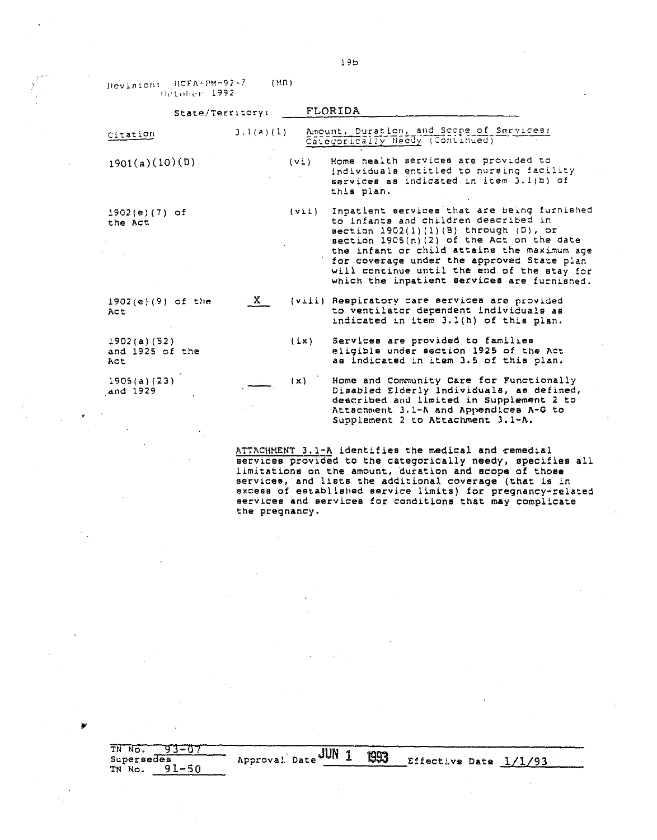Hevision: HCFA-PM-92-7 (MR) Detaber 1992

þ

|                                        | State/Territory: |         | FLORIDA                                                                                                                                                                                                                                                                                                                                                                   |
|----------------------------------------|------------------|---------|---------------------------------------------------------------------------------------------------------------------------------------------------------------------------------------------------------------------------------------------------------------------------------------------------------------------------------------------------------------------------|
| Citation                               | 3.1(a)(1)        |         | Amount, Duration, and Scope of Services:<br>Categorically Needy (Continued)                                                                                                                                                                                                                                                                                               |
| 1901(a)(10)(D)                         |                  | $(v_i)$ | Home health services are provided to<br>individuals entitled to nursing facility<br>services as indicated in item 3.1(b) of<br>this plan.                                                                                                                                                                                                                                 |
| $1902(e)(7)$ of<br>the Act             |                  | (vii)   | Inpatient services that are being furnished<br>to infants and children described in<br>$section 1902(1)(1)(B)$ through $(D)$ , or<br>section 1905(n)(2) of the Act on the date<br>the infant or child attains the maximum age<br>for coverage under the approved State plan<br>will continue until the end of the stay for<br>which the inpatient services are furnished. |
| $1902(e)(9)$ of the<br>Act             | $\mathbf{X}$     |         | (viii) Respiratory care services are provided<br>to ventilator dependent individuals as<br>indicated in item 3.1(h) of this plan.                                                                                                                                                                                                                                         |
| 1902(a) (52)<br>and 1925 of the<br>Act |                  | (Lx)    | Services are provided to families<br>eligible under section 1925 of the Act<br>as indicated in item 3.5 of this plan.                                                                                                                                                                                                                                                     |
| 1905(a)(23)<br>and 1929                |                  | (x)     | Home and Community Care for Functionally<br>Disabled Elderly Individuals, as defined,<br>described and limited in Supplement 2 to<br>Attachment 3.1-A and Appendices A-G to<br>Supplement 2 to Attachment 3.1-A.                                                                                                                                                          |
|                                        |                  |         |                                                                                                                                                                                                                                                                                                                                                                           |

 $\overline{\text{ATTACIIMENT 3.1-A}}$  identifies the medical and  $\tau$ emedial Bervlces provlded to the categorically needy, specifies all limitations on the amount, duration and scope of those<br>services, and lists the additional coverage (that is in<br>excess of established service limits) for pregnancy-related services and services for conditions that may complicate the pregnancy.

| <b>COLUMN TAXABLE</b><br>TH<br>No. |               | JUN |      |                       | يبرع والتقادمات المتحدث والأناد المتحدة والمنابة أأجدته |
|------------------------------------|---------------|-----|------|-----------------------|---------------------------------------------------------|
| Supersedes                         | Approval Date |     | 1993 | Effective Date 1/1/93 |                                                         |
| $Q1 - 50$<br>TN No.                |               |     |      |                       |                                                         |

lJb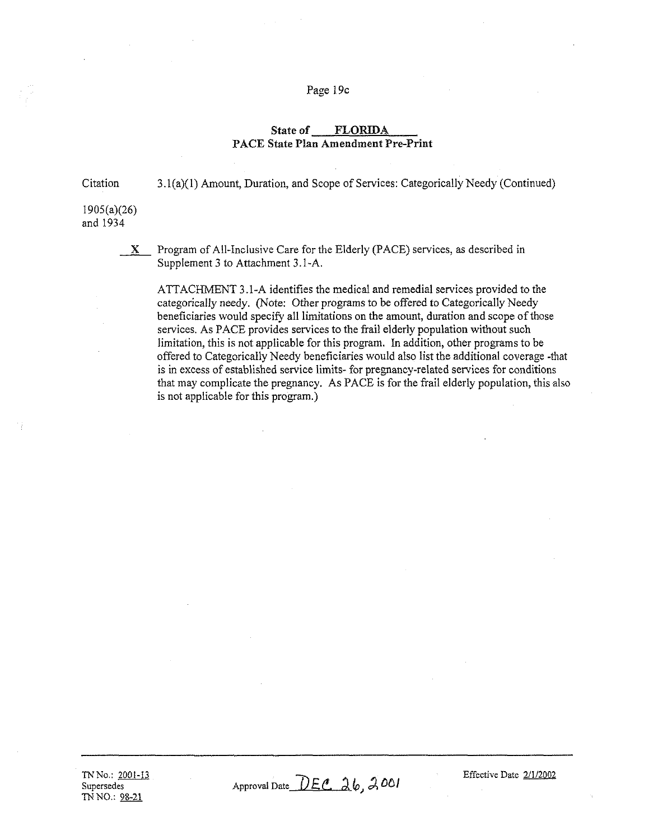## Page 19c

## State of FLORIDA PACE State Plan Amendment Pre-Print

Citation 3.I(a)(I) Amount, Duration, and Scope of Services: Categorically Needy (Continued)

1905(a)(26) and 1934

 $X$  Program of All-Inclusive Care for the Elderly (PACE) services, as described in Supplement 3 to Attachment 3.I-A.

ATTACHMENT 3.1-A identifies the medical and remedial services provided to the categorically needy. (Note: Other programs to be offered to Categorically Needy beneficiaries would specify all limitations on the amount, duration and scope of those services. As PACE provides services to the frail elderly population without such limitation, this is not applicable for this program. In addition, other programs to be offered to Categorically Needy beneficiaries would also list the additional coverage -that is in excess of established service limits- for pregnancy-related services for conditions that may complicate the pregnancy. As PACE is for the frail elderly population, this also is not applicable for this program.)

Approval Date  $\overline{DEC}$   $26, 2001$ 

Effective Date 2/1/2002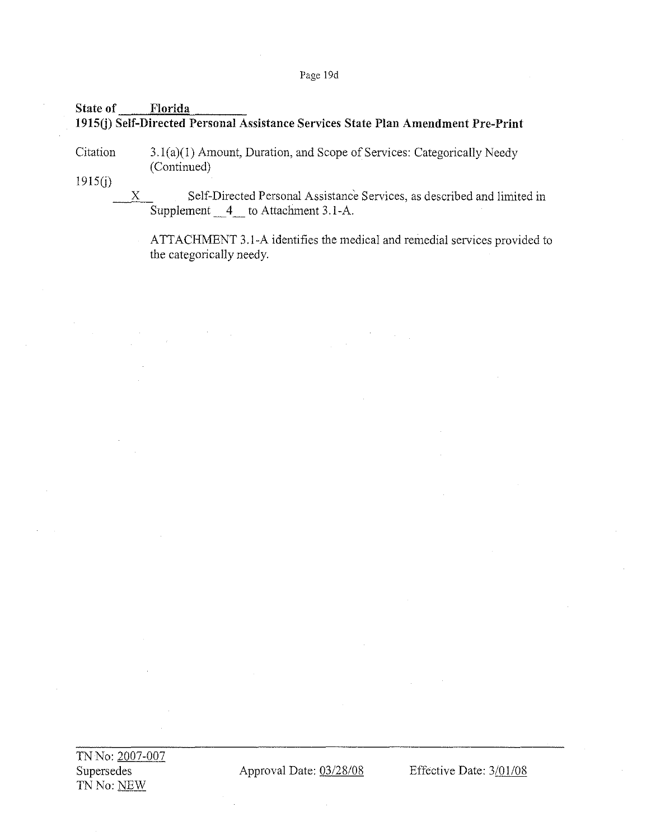# Page 19d

# State of Florida 1915(j) Self-Directed Personal Assistance Services State Plan Amendment Pre-Print

**Citation** 3.1(a)(1) Amount, Duration, and Scope of Services: Categorically Needy (Continued)

1915(j)

X Self-Directed Personal Assistance Services, as described and limited in Supplement 4 to Attachment 3.1-A.

ATTACHMENT 3.l-A identifies the medical and remedial services provided to the categorically needy.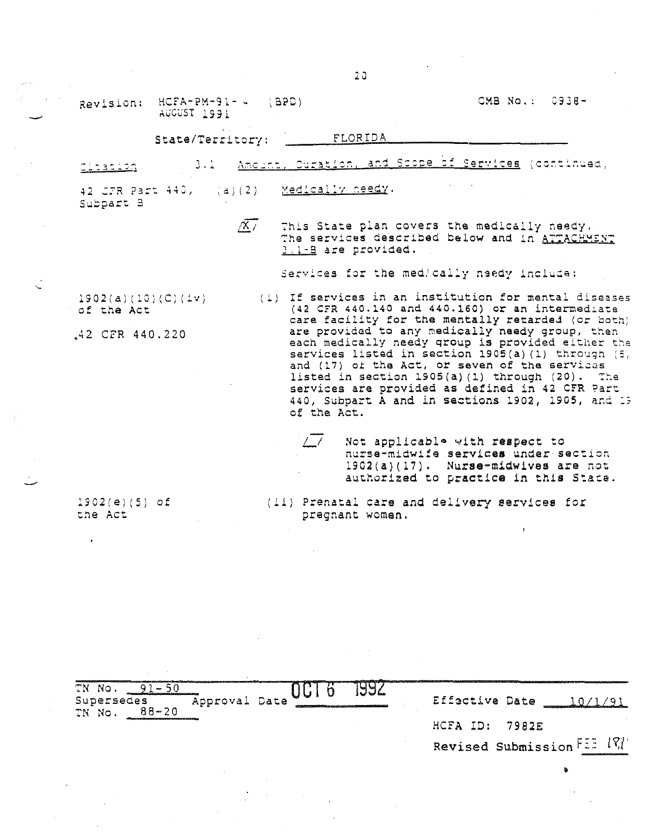$HCFA-PM-91-4 (BPD)$ Revision: AUCUST 1991

OMB No.: 0938-

### FLORIDA State/Territory:

Amount, Curation, and Scope of Services (continued)  $3 \cdot 1$ citation.

Medically needy. 42 *CTR* Part 440, (a)(2) Subpart B

> $\overline{X}$ This State plan covers the medically needy. The services described below and in ATTACHMENT 3.1-B are provided.

> > Services for the medically needy include:

 $1902(a)(10)(C)(iv)$ of the Act

42 CFR 440.220

- (i) If services in an institution for mental diseases  $(42$  CFR  $440.140$  and  $440.160$ ) or an intermediate care facility for the mentally retarded (or both) are provided to any medically needy group, then each medically needy group is provided either the services listed in section 1905(a) (1) through (5) and (17) of the Act, or seven of the services listed in section 1905(a)(1) through (20). The services are provided as defined in 42 CFR Part 440, Subpart A and in sections 1902, 1905, and 19 of the Act.
	- $\sqrt{7}$ Not applicable with respect to nurse-midwife services under section 1902(a)(17). Nurse-midwives are not authorized to practice in this State.

(ii) Prenatal care and delivery services for pregnant women.

 $1902(e)(5)$  of the Act

TN No.  $91 - 50$ 1992 UUI 6 Supersedes Approval Date Effactive Date 10/1/91 TN No. 88-20 HCFA ID: 7982E Revised Submission FEE 197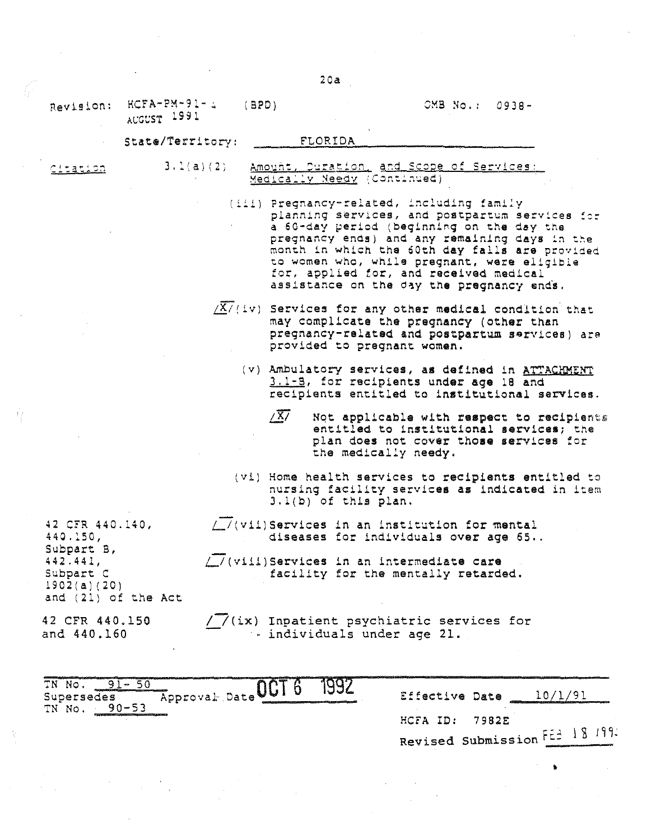$20a$ 

CMB No.: 0938-

 $HCFA-PM-91-4$ Revision: AUGUST 1991

#### State/Territory: **FLORIDA**

 $(BPD)$ 

citation

 $3.1(a)(2)$ Amount, Duration, and Scope of Services: Medically Needy (Continued)

> (iii) Pregnancy-related, including family planning services, and postpartum services for a 60-day period (beginning on the day the pregnancy ends) and any remaining days in the month in which the 60th day falls are provided to women who, while pregnant, were eligible for, applied for, and received medical assistance on the day the pregnancy ends.

 $\sqrt{X}/(iv)$  Services for any other medical condition that may complicate the pregnancy (other than pregnancy-related and postpartum services) are provided to pregnant women.

(v) Ambulatory services, as defined in ATTACHMENT 3.1-B, for recipients under age 18 and recipients entitled to institutional services.

- $\sqrt{X}$ Not applicable with respect to recipients entitled to institutional services; the plan does not cover those services for the medically needy.
- (vi) Home health services to recipients entitled to nursing facility services as indicated in item 3.1(b) of this plan.
- //(vii)Services in an institution for mental diseases for individuals over age 65..

/ / (viii) Services in an intermediate care facility for the mentally retarded.

42 CFR 440.150 and 440.160

and (21) of the Act

42 CFR 440.140,

440.150,

Subpart B,  $442.441,$ 

Subpart C

 $1902(a)(20)$ 

/ / (ix) Inpatient psychiatric services for ... individuals under age 21.

| TN No<br>Approval Date UUI<br>Supersedes<br>$90 - 57$<br>TN No.                                            |  |  | Effective Date                 |  |
|------------------------------------------------------------------------------------------------------------|--|--|--------------------------------|--|
| dividend and the control of the control in the control of the control of the control of the control of the |  |  | $HCFA$ ID: 7982E               |  |
|                                                                                                            |  |  | Revised Submission FE2 18 199. |  |
|                                                                                                            |  |  |                                |  |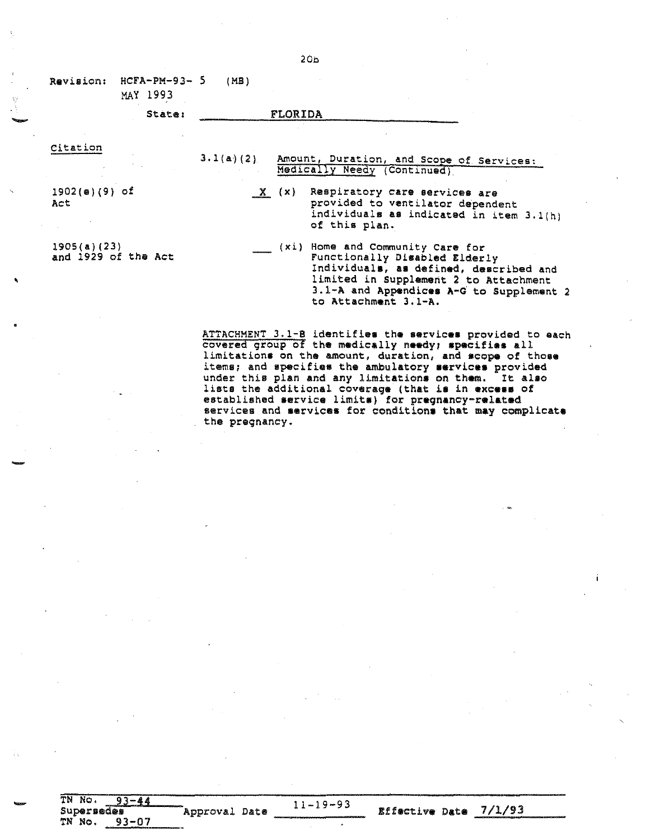| Revision:                          | $HCFA-PM-93-5$<br>MAY 1993 | (MB) |                                                                                                                                                                                                                          |
|------------------------------------|----------------------------|------|--------------------------------------------------------------------------------------------------------------------------------------------------------------------------------------------------------------------------|
|                                    | State:                     |      | FLORIDA                                                                                                                                                                                                                  |
| Citation                           |                            |      | 3.1(a)(2) Amount, Duration, and Scope of Services:<br>Medically Needy (Continued)                                                                                                                                        |
| $1902(e)(9)$ of<br>Act             |                            |      | X (x) Respiratory care services are<br>provided to ventilator dependent<br>individuals as indicated in item 3.1(h)<br>of this plan.                                                                                      |
| 1905(a)(23)<br>and 1929 of the Act |                            |      | (xi) Home and Community Care for<br>Functionally Disabled Elderly<br>Individuals, as defined, described and<br>limited in Supplement 2 to Attachment<br>3.1-A and Appendices A-G to Supplement 2<br>to Attachment 3.1-A. |

-

,

-

TN No. 93-44<br>
Supersedes<br>
TN No. 93-07

ATTACHMENT 3.1-B identifies the services provided to each covered group of the medically needy; specifies all limitations on the amount, duration, and scope of those items; and specifies the ambulatory services provided under this plan and any limitations on them. It also lists the additional coverage (that is in excess of established eervice limite) for pregnancy-related services and services for conditions that may complicate the pregnancy.

Approval Date  $\frac{11-19-93}{25}$  Effective Date 7/1/93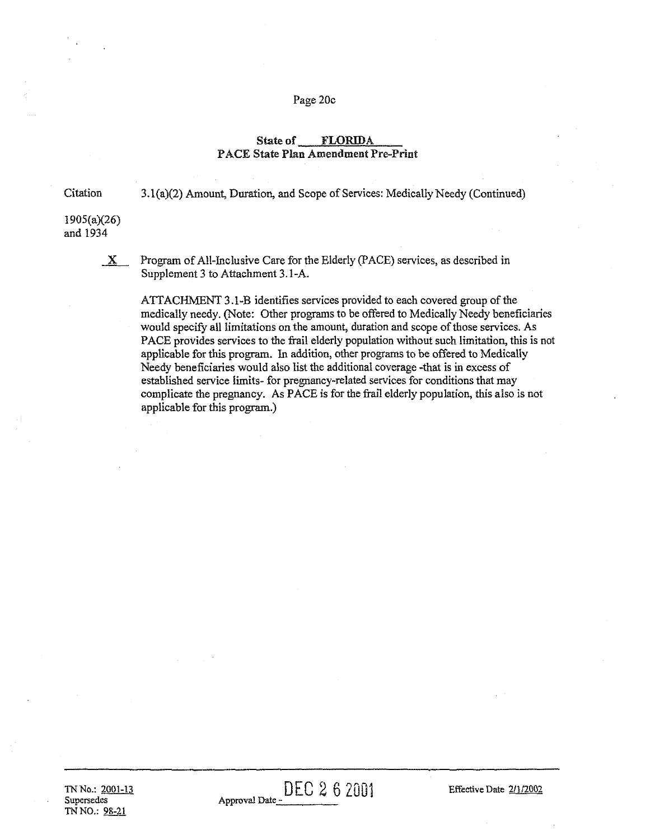### Page 20c

# State of FLORIDA PACE State Plan Amendment Pre-Print

Citation

3.1(a)(2) Amount, Duration, and Scope of Services: Medically Needy (Continued)

1905(a)(26) and 1934

 $\underline{\mathbf{X}}$  Program of All-Inclusive Care for the Elderly (PACE) services, as described in Supplement 3 to Attachment 3.1-A.

ATTACHMENT 3.1-B identifies services provided to each covered group of the medically needy. (Note: Other programs to be offered to Medically Needy beneficiaries would specify all limitations on the amount, duration and scope of those services. As PACE provides services to the frail elderly population without such limitation, this is not applicable for this program. In addition, other programs to be offered to Medically Needy beneficiaries would also list the additional coverage -that is in excess of established service limits- for pregnancy-related services for conditions that may complicate the pregnancy. As PACE is for the frail elderly population, this also is not applicable for this program.)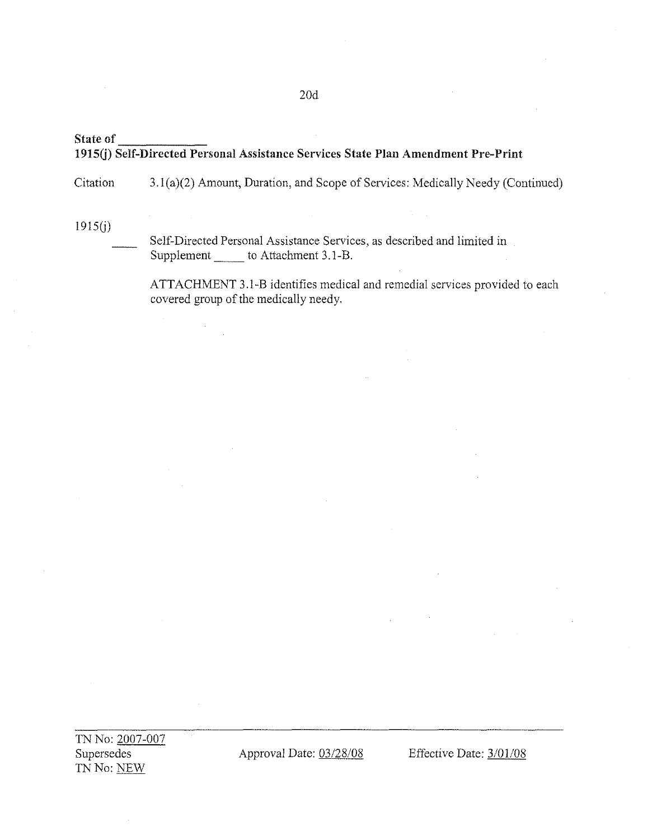# State of 1915(j) Self-Directed Personal Assistance Services State Plan Amendment Pre-Print

**Citation** 3.I(a)(2) Amount, Duration, and Scope of Services: Medically Needy (Continued)

1915(j)

Self-Directed Personal Assistance Services, as described and limited in Supplement \_\_\_\_\_\_\_ to Attachment 3.1-B.

ATTACHMENT 3.1-B identifies medical and remedial services provided to each covered group of the medically needy.

TN No: 2007-007 Supersedes TN No: NEW

Approval Date: 03/28/08 Effective Date: 3/01/08

20d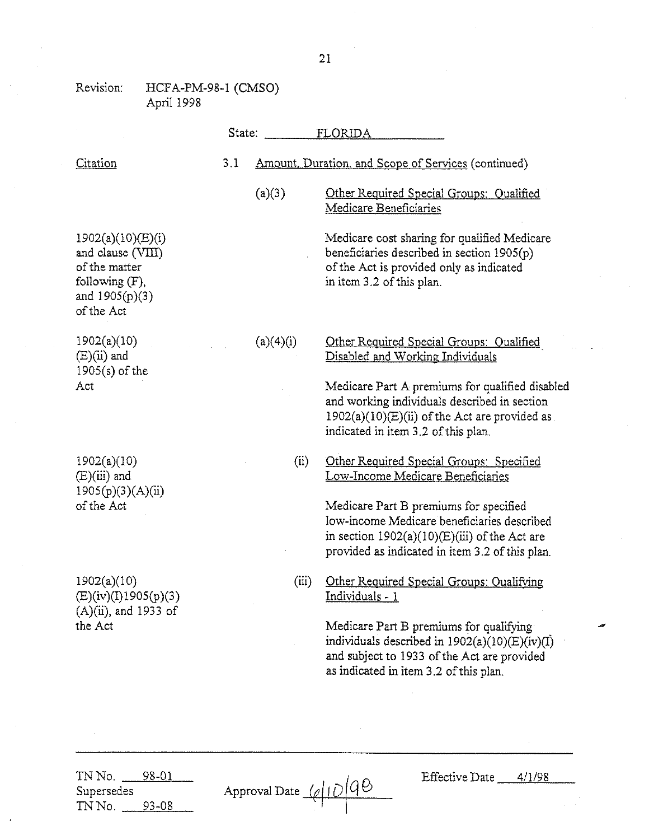### Revision: HCFA-PM-98-1 (CMSO) April 1998

|                                                                                                             | State: |           | FLORIDA                                                                                                                                                                                     |
|-------------------------------------------------------------------------------------------------------------|--------|-----------|---------------------------------------------------------------------------------------------------------------------------------------------------------------------------------------------|
| Citation                                                                                                    | 3.1    |           | Amount, Duration, and Scope of Services (continued)                                                                                                                                         |
|                                                                                                             |        | (a)(3)    | Other Required Special Groups: Qualified<br>Medicare Beneficiaries                                                                                                                          |
| 1902(a)(10)(E)(i)<br>and clause (VIII)<br>of the matter<br>following (F),<br>and $1905(p)(3)$<br>of the Act |        |           | Medicare cost sharing for qualified Medicare<br>beneficiaries described in section 1905(p)<br>of the Act is provided only as indicated<br>in item 3.2 of this plan.                         |
| 1902(a)(10)<br>$(E)(ii)$ and<br>$1905(s)$ of the                                                            |        | (a)(4)(i) | Other Required Special Groups: Qualified<br>Disabled and Working Individuals                                                                                                                |
| Act                                                                                                         |        |           | Medicare Part A premiums for qualified disabled<br>and working individuals described in section<br>$1902(a)(10)(E)(ii)$ of the Act are provided as<br>indicated in item 3.2 of this plan.   |
| 1902(a)(10)<br>$(E)(iii)$ and<br>1905(p)(3)(A)(ii)                                                          |        | (ii)      | Other Required Special Groups: Specified<br>Low-Income Medicare Beneficiaries                                                                                                               |
| of the Act                                                                                                  |        |           | Medicare Part B premiums for specified<br>low-income Medicare beneficiaries described<br>in section $1902(a)(10)(E)(iii)$ of the Act are<br>provided as indicated in item 3.2 of this plan. |
| 1902(a)(10)<br>(E)(iv)(I)1905(p)(3)<br>(A)(ii), and 1933 of                                                 |        | (iii)     | Other Required Special Groups: Qualifying<br><u> Individuals - 1</u>                                                                                                                        |
| the Act                                                                                                     |        |           | Medicare Part B premiums for qualifying<br>individuals described in $1902(a)(10)(E)(iv)(I)$<br>and subject to 1933 of the Act are provided<br>as indicated in item 3.2 of this plan.        |
|                                                                                                             |        |           |                                                                                                                                                                                             |

TN No. <u>\_\_\_\_98-01</u> Supersedes TN No. <u>93-08</u>

| Approval Date $\sqrt{\frac{\rho}{\rho}}$ 40 |  |
|---------------------------------------------|--|
|                                             |  |

Effective Date <u>4/1/98</u>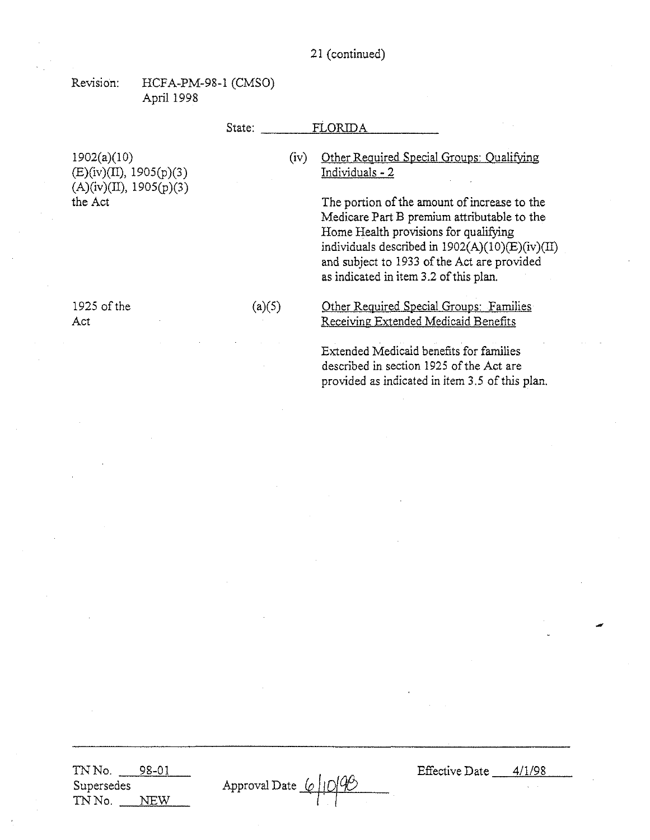# 21 (continued)

Revision: HCFA-PM-98-1 (CMSO) April 1998

# State: FLORIDA

1902(a)(1O)  $(E)(iv)(II), 1905(p)(3)$  $(A)(iv)(II), 1905(p)(3)$ the Act

# (iv) Other ReQuired Special Groups: Oualifying Individuals - 2

The portion of the amount of increase to the Medicare Part B premium attributable to the Home Health provisions for qualifying individuals described in 1902(A)(10)(E)(iv)(II) and subject to 1933 of the Act are provided as indicated in item 3.2 of this plan.

(a)(5) Other ReQuired Special Groups: Families Receiving Extended Medicaid Benefits

> Extended Medicaid benefits for families described in section 1925 of the Act are provided as indicated in item 3.5 of this plan.

1925 of the Act

TNNo. 98-01 Supersedes TN No. NEW

Approval Date (

Effective Date 4/1/98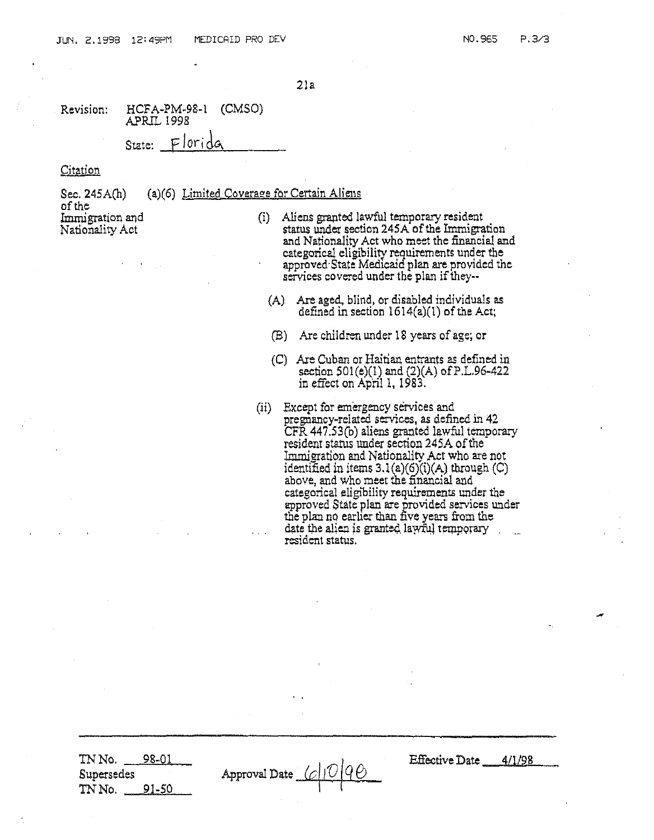21a

Revision: HCFA·PM·98·1 (CMSO) **APRIL 1998** State: Florido

Citation

Sec. 245A(h) ofthe Immigration and Nationality Act  $(a)(6)$  Limited Coverage for Certain Aliens

- (i) Aliens granted lawful temporary resident status under section 245A of the Immigration and Nationality Act who meet the financial and categorical eligibility requirements under the approved'State Medicaid plan are provided the services covered under the plan if they--
	- (A) Are aged, blind, or disabled individuals as defined in section  $1614(a)(1)$  of the Act;
	- (B) Are children under 18 years of age; or
	- Are Cuban or Haitian entrants as defined in (C) section SOl(e)(I) and (2)(A) ofP.L.96-422 in effect on April 1, 1983.
- (ii) Except for emergency services and pregnancy-related services, as defined in 42 CFR447.53(b) aliens granted lawful temporary resident status under section 245A of the Immigration and Nationality Act who are not identified in items  $3.1(a)(6)(i)(A)$  through  $(C)$ above, and who meet the financial and categorical eligibility requirements under the approved State plan are provided services under the plan no earlier than five years from the date the alien is granted lawful temporary , resident status.

TNNe. 98-01 Supersedes TNNo. 91-50

Approval Date  $\sqrt{C}$ 

Effective Date *4/1198*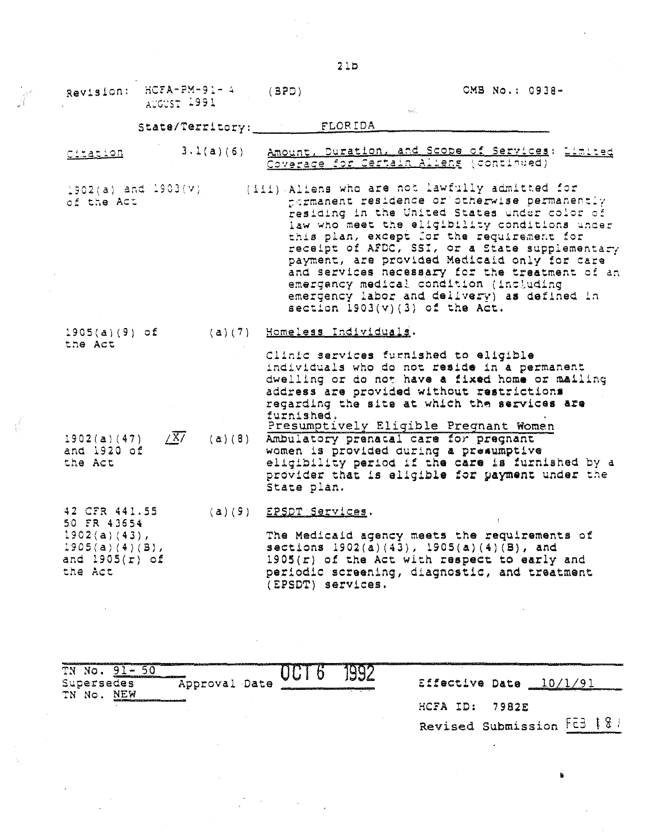|                                                                                                     | Revision: HCFA-PM-91-4<br>AUGUST 1991 | (BPD)                                                       | CMB No.: 0938-                                                                                                                                                                                                                                                                                                                                                                                                                                                                                                                |
|-----------------------------------------------------------------------------------------------------|---------------------------------------|-------------------------------------------------------------|-------------------------------------------------------------------------------------------------------------------------------------------------------------------------------------------------------------------------------------------------------------------------------------------------------------------------------------------------------------------------------------------------------------------------------------------------------------------------------------------------------------------------------|
|                                                                                                     |                                       | State/Territory: FLORIDA                                    |                                                                                                                                                                                                                                                                                                                                                                                                                                                                                                                               |
| citation                                                                                            |                                       |                                                             | 3.1(a)(6) Amount, Duration, and Scope of Services: Limited<br>Coverage for Certain Alleng (continued)                                                                                                                                                                                                                                                                                                                                                                                                                         |
| of the Act                                                                                          | $1902(a)$ and $1903(v)$               |                                                             | (iii) Aliens who are not lawfully admitted for<br>fermanent residence or otherwise permanently<br>residing in the United States under color of<br>law who meet the eligibility conditions under<br>this plan, except for the requirement for<br>receipt of AFDC, SSI, or a State supplementary<br>payment, are provided Medicaid only for care<br>and services necessary for the treatment of an<br>emergancy medical condition (including<br>emergency labor and delivery) as defined in<br>section $1903(v)(3)$ of the Act. |
| $1905(a)(9)$ of<br>the Act                                                                          |                                       | (a)(7) Homeless Individuals.<br>furnished.                  | Clinic services furnished to eligible<br>individuals who do not reside in a permanent<br>dwelling or do not have a fixed home or mailing<br>address are provided without restrictions<br>regarding the site at which the services are                                                                                                                                                                                                                                                                                         |
| 1902(a)(47)<br>and 1920 of<br>the Act                                                               | $\sqrt{X}$                            | (a)(8) Ambulatory prenacal care for pregnant<br>State plan. | Presumptively Eligible Pregnant Women<br>women is provided during a presumptive<br>eligibility period if the care is furnished by a<br>provider that is eligible for payment under the                                                                                                                                                                                                                                                                                                                                        |
| 42 CFR 441.55<br>50 FR 43654<br>$1902(a)(43)$ ,<br>$1905(a)(4)(B)$ ,<br>and $1905(r)$ of<br>the Act |                                       | $(a)(9)$ EPSDT Services.<br>(EPSDT) services.               | The Medicaid agency meets the requirements of<br>sections $1902(a)(43)$ , $1905(a)(4)(B)$ , and<br>$1905(r)$ of the Act with respect to early and<br>periodic screening, diagnostic, and treatment                                                                                                                                                                                                                                                                                                                            |

| mN.<br>.                                                                                      | - 100                                                                                                                        |                | <u>and a committee of the committee of the committee of the committee of the committee of the committee of the committee of the committee of the committee of the committee of the committee of the committee of the committee o</u> |
|-----------------------------------------------------------------------------------------------|------------------------------------------------------------------------------------------------------------------------------|----------------|--------------------------------------------------------------------------------------------------------------------------------------------------------------------------------------------------------------------------------------|
| Approval Date<br>Supersedes<br>NEW<br>TN No.                                                  | $\sim$ $\sim$ $\sim$ $\sim$<br>パイ プレー<br>and the contract of the contract of the contract of the contract of the contract of | Effective Date | - 197<br><b>ANDREW CONTINUES.</b>                                                                                                                                                                                                    |
| CONTROL COMMUNICATIONS AND CONTROL TO A REPORT OF THE CONTROL CONTROL CONTROL CONTROL CONTROL |                                                                                                                              | ID:<br>HCFA    | 7982E                                                                                                                                                                                                                                |

 $\mathcal{L}_{\mathcal{L}}$ 

Revised Submission  $F\bar{c}3 + 8$ 

 $\ddot{\phantom{a}}$ 

•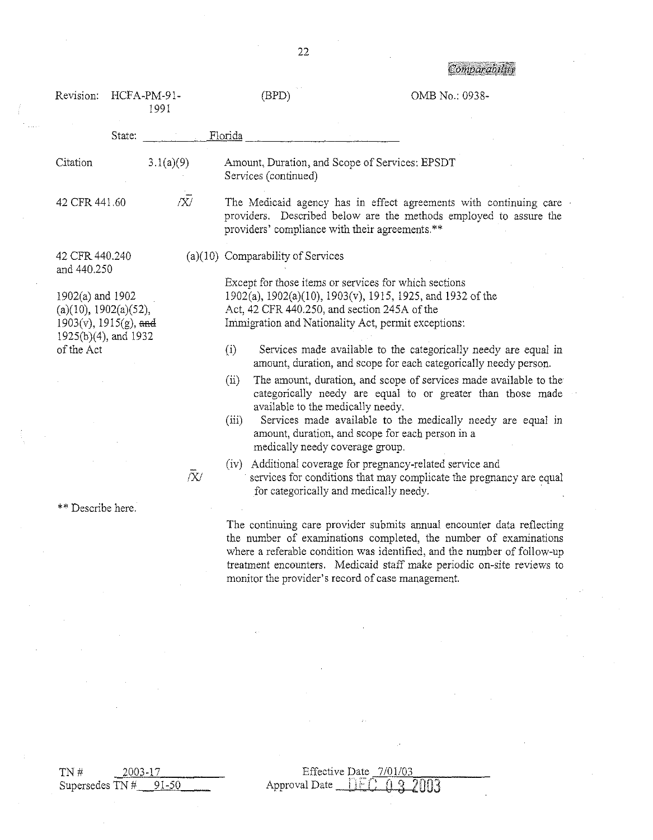|                                                                                                                |        |                     |                                                                                                                                                                     | <b>ALIAN ARTISTS AND ARTISTS</b>                                                                                                                                                                                                                                                                                        |
|----------------------------------------------------------------------------------------------------------------|--------|---------------------|---------------------------------------------------------------------------------------------------------------------------------------------------------------------|-------------------------------------------------------------------------------------------------------------------------------------------------------------------------------------------------------------------------------------------------------------------------------------------------------------------------|
| Revision:                                                                                                      |        | HCFA-PM-91-<br>1991 | (BPD)                                                                                                                                                               | OMB No.: 0938-                                                                                                                                                                                                                                                                                                          |
|                                                                                                                | State: |                     | Florida                                                                                                                                                             |                                                                                                                                                                                                                                                                                                                         |
| Citation                                                                                                       |        | 3.1(a)(9)           | Amount, Duration, and Scope of Services: EPSDT<br>Services (continued)                                                                                              |                                                                                                                                                                                                                                                                                                                         |
| 42 CFR 441.60                                                                                                  |        | $\bar{X}$           | providers' compliance with their agreements.**                                                                                                                      | The Medicaid agency has in effect agreements with continuing care<br>providers. Described below are the methods employed to assure the                                                                                                                                                                                  |
| 42 CFR 440.240<br>and 440.250                                                                                  |        |                     | (a)(10) Comparability of Services                                                                                                                                   |                                                                                                                                                                                                                                                                                                                         |
| 1902(a) and 1902<br>(a)(10), 1902(a)(52),<br>$1903(v)$ , $1915(g)$ , and<br>1925(b)(4), and 1932<br>of the Act |        |                     | Except for those items or services for which sections<br>Act, 42 CFR 440.250, and section 245A of the<br>Immigration and Nationality Act, permit exceptions:<br>(i) | 1902(a), 1902(a)(10), 1903(v), 1915, 1925, and 1932 of the<br>Services made available to the categorically needy are equal in                                                                                                                                                                                           |
|                                                                                                                |        |                     | (ii)<br>available to the medically needy.<br>(iii)<br>medically needy coverage group.                                                                               | amount, duration, and scope for each categorically needy person.<br>The amount, duration, and scope of services made available to the<br>categorically needy are equal to or greater than those made<br>Services made available to the medically needy are equal in<br>amount, duration, and scope for each person in a |
|                                                                                                                |        | $\bar{X}$           | (iv)<br>for categorically and medically needy.                                                                                                                      | Additional coverage for pregnancy-related service and<br>services for conditions that may complicate the pregnancy are equal                                                                                                                                                                                            |
| ** Describe here.                                                                                              |        |                     |                                                                                                                                                                     |                                                                                                                                                                                                                                                                                                                         |
|                                                                                                                |        |                     | monitor the provider's record of case management.                                                                                                                   | The continuing care provider submits annual encounter data reflecting<br>the number of examinations completed, the number of examinations<br>where a referable condition was identified, and the number of follow-up<br>treatment encounters. Medicaid staff make periodic on-site reviews to                           |

22

TN #  $\frac{2003-17}{\text{Supersedes TN # } 91-50}$ 

Effective Date <u>7/01/03</u><br>Approval Date <u>TIFC: 03</u> 2003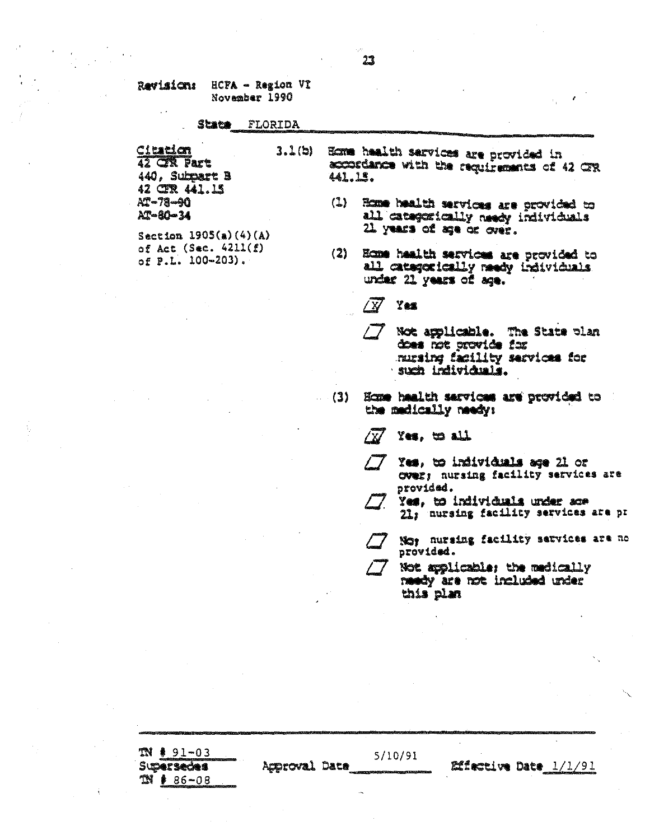### State FLORIDA

Citation  $3.1(b)$ 42 CR Part 440. Subpart B 42 CER 441.15 AT-78-90  $AT - 80 - 34$ 

Section  $1905(a)(4)(A)$ of Act (Sec.  $4211(f)$ of P.L. 100-203).

Ecne health sarvices are provided in ecordance with the requirements of 42 GR 441.15.

- (1) Home health services are provided to all categorically needy individuals 21 years of age or over.
- Ecme health services are provided to  $(2)$ all categorically medy individuals under 21 years of age.

 $\sqrt{N}$ Yes

- $/7$ Not applicable. The State plan does not provide for nusing facility services for such individuals.
- Econe health services are provided to  $(3)$ the medically needy:

### $x_{\text{cs}}$ , to all  $\sqrt{K}$

- Yes. to individuals age 21 or Over; nursing facility services are provided.
	- Yes. to individuals under ace 21; nursing facility services are pr
	- Not nursing facility services are no provided.
- Not applicable; the medically needy are not included under this plan

 $T N$   $*$  91-03 5/10/91 **Effective Date** 1/1/91 **Supersectes** Acproval Date  $38 * 86 - 08$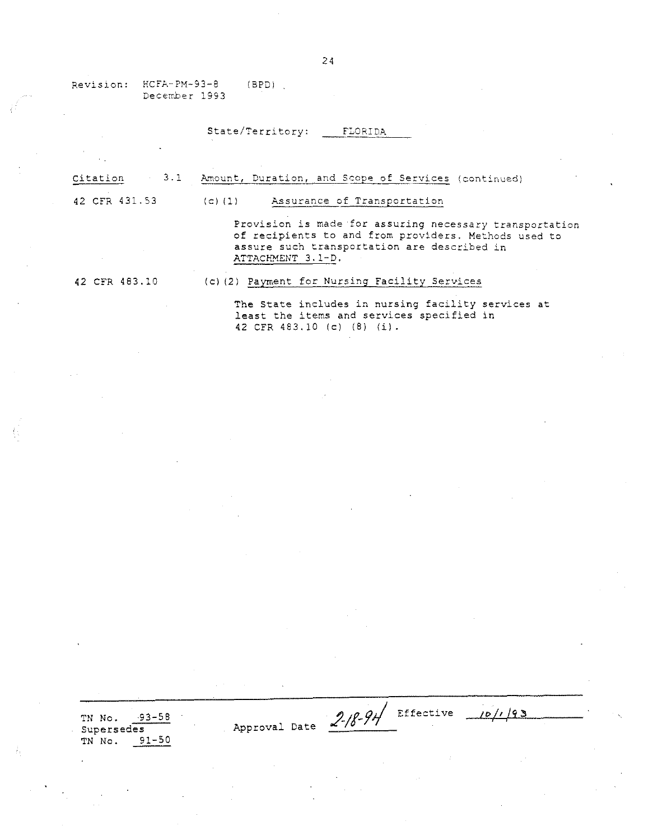Revision: HCFA-PM-93-8 December 1993 (BPD)

# State/Territory: FLORIDA

| 3.1<br>Citation | Amount, Duration, and Scope of Services (continued)                                                                                                                                 |
|-----------------|-------------------------------------------------------------------------------------------------------------------------------------------------------------------------------------|
| 42 CFR 431.53   | Assurance of Transportation<br>$(c)$ $(1)$                                                                                                                                          |
|                 | Provision is made for assuring necessary transportation<br>of recipients to and from providers. Methods used to<br>assure such transportation are described in<br>ATTACHMENT 3.1-D. |
| 42 CFR 483.10   | (c) (2) Payment for Nursing Facility Services                                                                                                                                       |

The State includes in nursing facility services at least the items and services specified in 42 CFR 483.10 (c) (8) (i).

TN No. 93-58 Supersedes TN No. 91-50

 $2.18 - 91$  Effective

 $10/193$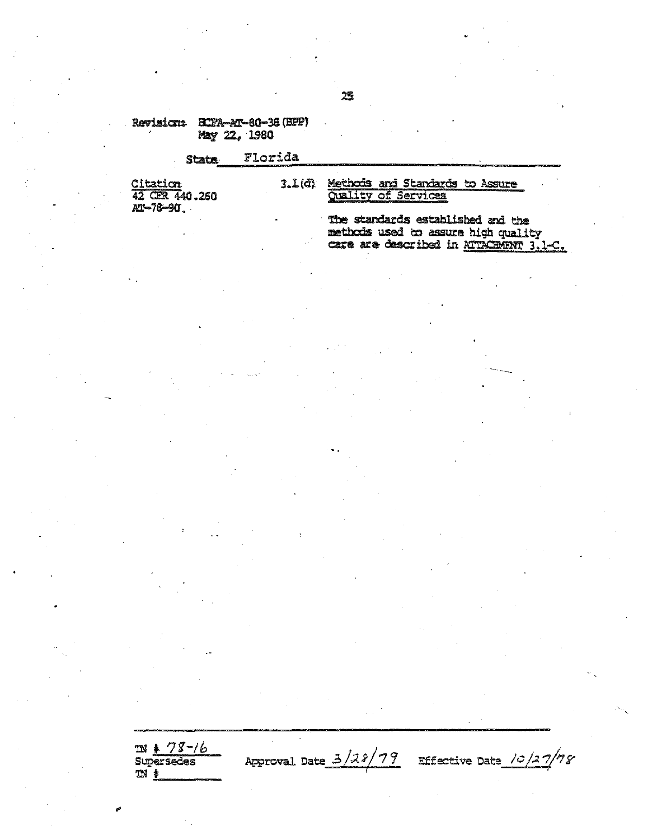## Revision: ECTA-MA-80-38 (BFP) May 22, 1980

### Florida **State** Citation<br>42 CR 440.260 3.1(d) Methods and Standards to Assure Quality of Services

AT-78-90

 $m * 78 - 16$ 

**Supersedes** 

 $M$   $\frac{1}{2}$ 

The standards established and the methods used to assure high quality care are described in ATTACHENT 3.1-C.

# 25

Approval Date 3/28/79 Effective Date 10/27/78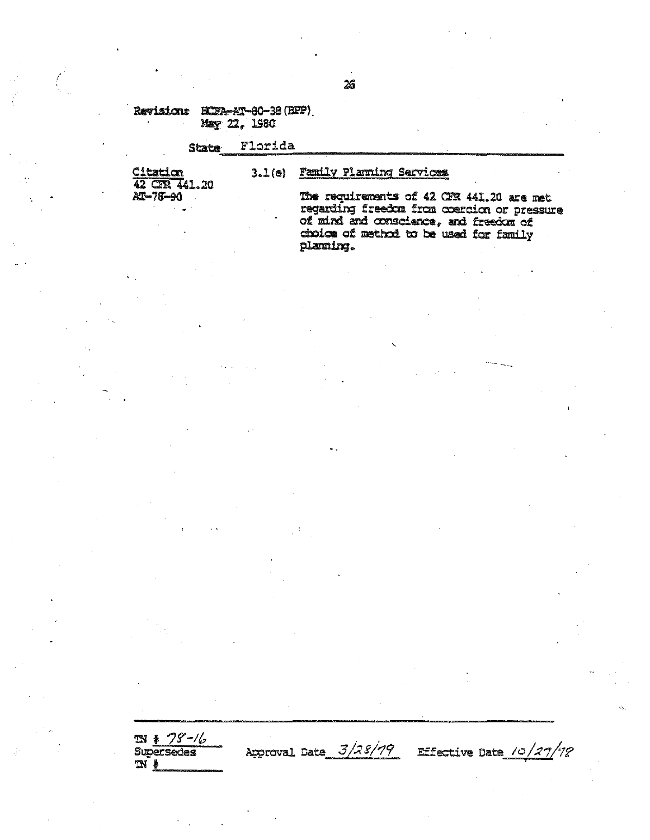## Revisions HCFA-AT-80-38 (BFP) May 22, 1980

### Florida **State**

Citation 42 CFR 441.20

 $\mathcal{E}$ 

# 3.1(e) Family Planning Services

AT-78-90

The requirements of 42 CFR 441.20 are met regarding freedom from coercion or pressure of mind and conscience, and freedom of choice of method to be used for family planung.

 $\frac{N + 75 - 76}{\text{Supersedes}}$ Approval Date 3/28/79 Effective Date 10/27/78  $\mathfrak{m}$  .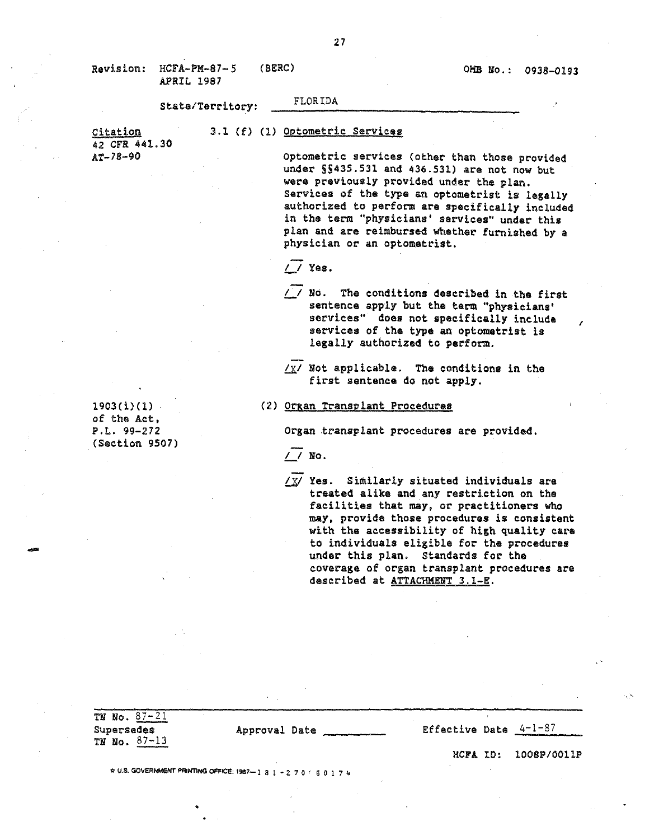*r*

state/Territory: FLORIDA

Citation 42 CFR 441.30 AT-78-90

3.1 (f) (1) Optometric Services

optometric services (other than those provided under 5S435.531 and 436.531) are not now but were previously provided under the plan. Services of the type an optometrist is legally authorized to perform are specifically included in the term "physicians' services" under this plan and are reimbursed whether furnished by a physician or an optometrist.

- *L/* Yes.
- *L/* No. The conditions described in the first sentence apply but the term "physicians' services" does not specifically include services of the type an optometrist is legallY authorized to perform.
- $\chi/\chi$ / Not applicable. The conditions in the first sentence do not apply.

### (2.) organ Transplant Procedures

Organ transplant procedures are provided.

*L/* ~o.

*L]I* Yes. Similarly situated individuals are treated alike and any restriction on the facilities that may, or practitioners who may. provide those procedures is consistent with the accessibility of high quality care to individuals eligible for the procedures under this plan. Standards for the coverage of organ transplant procedures are described at ATTACHMENT 3.1-E.

1903(i)(l) of the Act, F.L. 99-272 (Section 9507)

•

-

| TN No. $87 - 21$<br>Supersedes<br>TN No. $87-13$ | Approval Date                                         | Effective Date $4-1-87$ |                          |
|--------------------------------------------------|-------------------------------------------------------|-------------------------|--------------------------|
|                                                  |                                                       |                         | $HCFA$ ID: $1008P/0011P$ |
|                                                  | ☆ U.S. GOVERNMENT PRINTING OFFICE: 1987-181-270/60174 |                         |                          |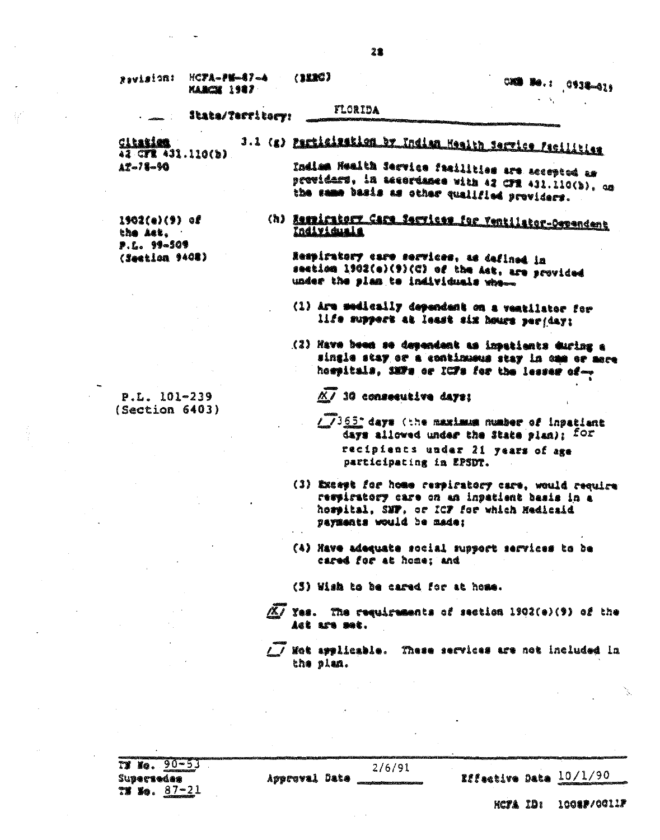| ariatveg                                   | $HCPA = P6 = 17 - 4$<br>KARCH 1987 | (222)                                                                                                                                                   | $\circ$ .: $\circ$ .: $\circ$ |
|--------------------------------------------|------------------------------------|---------------------------------------------------------------------------------------------------------------------------------------------------------|-------------------------------|
|                                            | State/Territory:                   | FLORIDA                                                                                                                                                 |                               |
| Cleation<br>42 CFR 431.110(b)              |                                    | 3.1 (g) Particisation by Indian Health Service Pacificiae                                                                                               |                               |
| $12 - 78 - 90$                             |                                    | Indian Health Service facilities are accepted as<br>previdars, in accordance with 42 CFR 431.110(b), as<br>the same basis as other qualified providers. |                               |
| $1902(e)(9)$ of<br>the Ast.<br>P.L. 99-509 |                                    | (h) Respirators_Gare_Services_for_Yentilator-Oependant<br>Individuala                                                                                   |                               |
| (Seetian 9408)                             |                                    | lespiratory care services, as defined in<br>section 1902(e)(9)(C) of the Ast, are provided<br>under the plan to individuals when                        |                               |
|                                            |                                    | (1) Are medically dependent on a ventilator for<br>life support at least six hours perjany;                                                             |                               |

(2) Have been se dependant as inpatients during a single stay or a continuous stay in one or more hospitals, SMTs or ICFs for the lesser of-

 $\overline{KJ}$  30 consecutive days:

- / /365" days (the maximum number of inpatient days allowed under the State plan); for recipients under 21 years of age participating in EPSDT.
- (3) Except for home respiratory care, would require respiratory care on an inpatient basis in a hospital, SNF, or ICF for which Medicaid payments would be made:
- (4) Have adequate social support services to be cared for at home; and

(3) Wish to be cared for at home.

 $\overline{XY}$  Yes. The requirements of section 1902(e)(9) of the iet ars met.

/ / Met applicable. These services are not included in the plan.

 $T = 80 - 53$ Supersedes  $79.80.87 - 21$ 

 $2/6/91$ Approval Date

Effective Date 10/1/90

**HCTA ID: 1008P/0011F** 

P.L. 101-239  $(Section 6403)$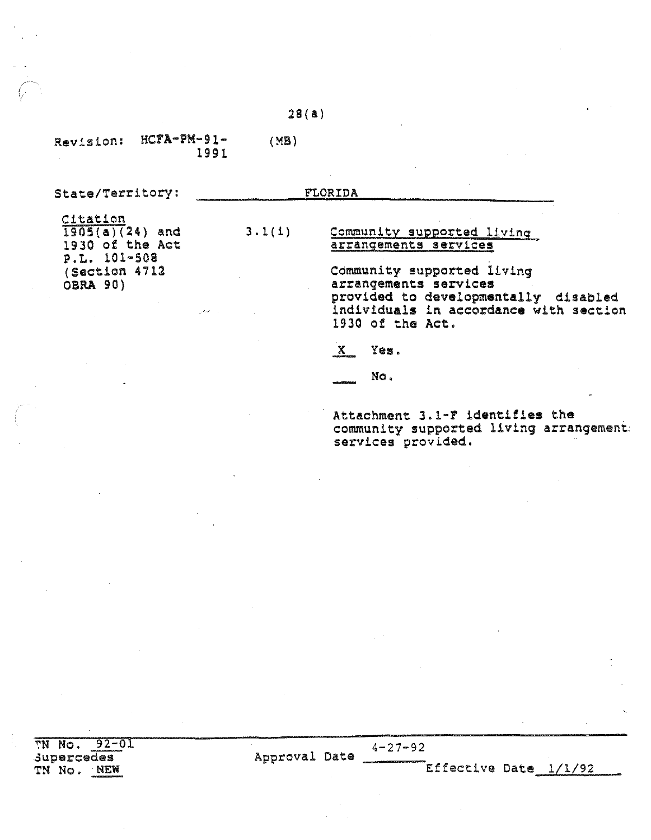# 28(a)

3.1(i)

Revision: HCFA-PM-91- (MB) 1991

State/Territory:

FLORIDA

Citation  $1905(a)(24)$  and 1930 of the Act P. L. 101-508 (Section 4712 OBRI. 90)

## Community supported living arrangements services

Community supported living arrangements services provided to developmentally disabled indiViduals in accordance with section 1930 of the Act.

- x Yes.
- No.

Attachment 3.1-F identifies the community supported living arrangement: services provided.

TN No. 92-01 supercedes TN No. NEW

Approval Date  $4-27-92$ 

Effective Date 1/1/92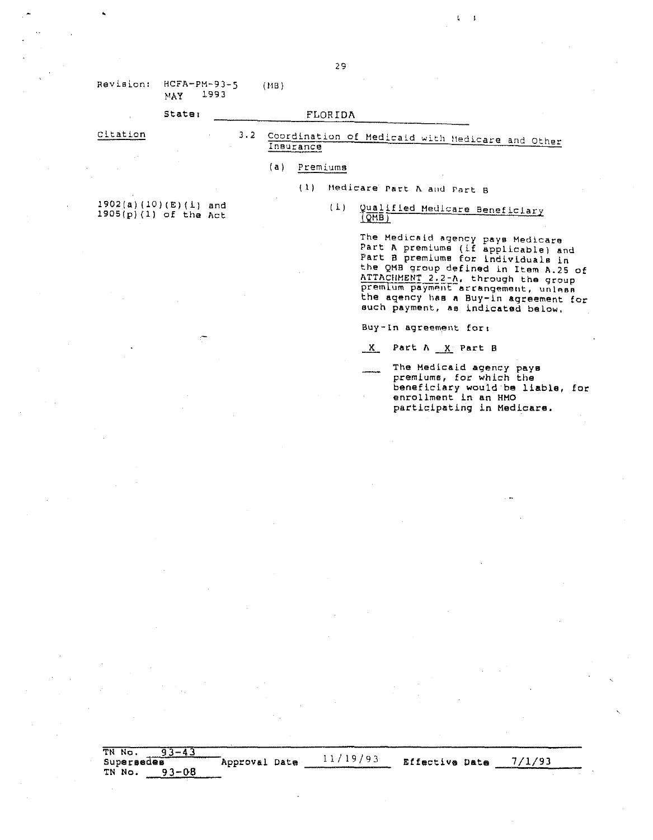| Revision: |     | $HCFA-PM-93-5$ | (MB) |
|-----------|-----|----------------|------|
|           | мач | 1993           |      |

### State: FLORIDA

### 3.2 Coordination of Medicaid with Hedicare and Other Citation Insurance

#### $(a)$ Premiums

Medicare Part A and Part B  $(1)$ 

### (1) Qualified Medicare Beneficiary  $(QMB)$

The Medicaid agency pays Medicare<br>Part A premiums (if applicable) and Part B premiums (if applicable) and<br>the QMB group defined in Item A.25 of<br>ATTACHMENT 2.2-A, through the group premlum payment arrangement, unless the agency has a Buy-in agreement for such payment, as indicated below.

藍い  $\overline{\mathbf{1}}$ 

Buy-In agreement for:

X Part A X Part B

The Medicaid agency pays premiums, for which the beneficiary would be liable, for<br>enrollment in an HMO participating in Medicare.

 $1902(a)(10)(E)(1)$  and  $1905(p)(1)$  of the Act

TN No.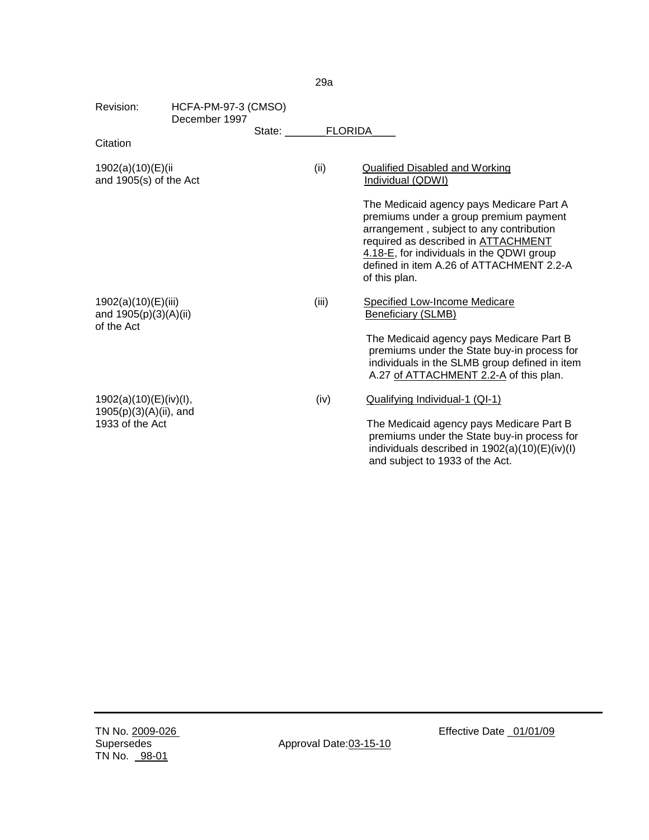| Revision:                                                           | HCFA-PM-97-3 (CMSO)<br>December 1997 |        |                |                                                                                                                                                                                                                                                                                                                                                      |
|---------------------------------------------------------------------|--------------------------------------|--------|----------------|------------------------------------------------------------------------------------------------------------------------------------------------------------------------------------------------------------------------------------------------------------------------------------------------------------------------------------------------------|
| Citation                                                            |                                      | State: | <b>FLORIDA</b> |                                                                                                                                                                                                                                                                                                                                                      |
| 1902(a)(10)(E)(ii<br>and 1905(s) of the Act                         |                                      |        | (ii)           | <b>Qualified Disabled and Working</b><br>Individual (QDWI)<br>The Medicaid agency pays Medicare Part A<br>premiums under a group premium payment<br>arrangement, subject to any contribution<br>required as described in <b>ATTACHMENT</b><br>4.18-E, for individuals in the QDWI group<br>defined in item A.26 of ATTACHMENT 2.2-A<br>of this plan. |
| 1902(a)(10)(E)(iii)<br>and 1905(p)(3)(A)(ii)<br>of the Act          |                                      |        | (iii)          | <b>Specified Low-Income Medicare</b><br><b>Beneficiary (SLMB)</b><br>The Medicaid agency pays Medicare Part B<br>premiums under the State buy-in process for<br>individuals in the SLMB group defined in item<br>A.27 of ATTACHMENT 2.2-A of this plan.                                                                                              |
| 1902(a)(10)(E)(iv)(I),<br>1905(p)(3)(A)(ii), and<br>1933 of the Act |                                      |        | (iv)           | Qualifying Individual-1 (QI-1)<br>The Medicaid agency pays Medicare Part B<br>premiums under the State buy-in process for<br>individuals described in 1902(a)(10)(E)(iv)(I)<br>and subject to 1933 of the Act.                                                                                                                                       |

29a

Approval Date: 03-15-10

Effective Date \_01/01/09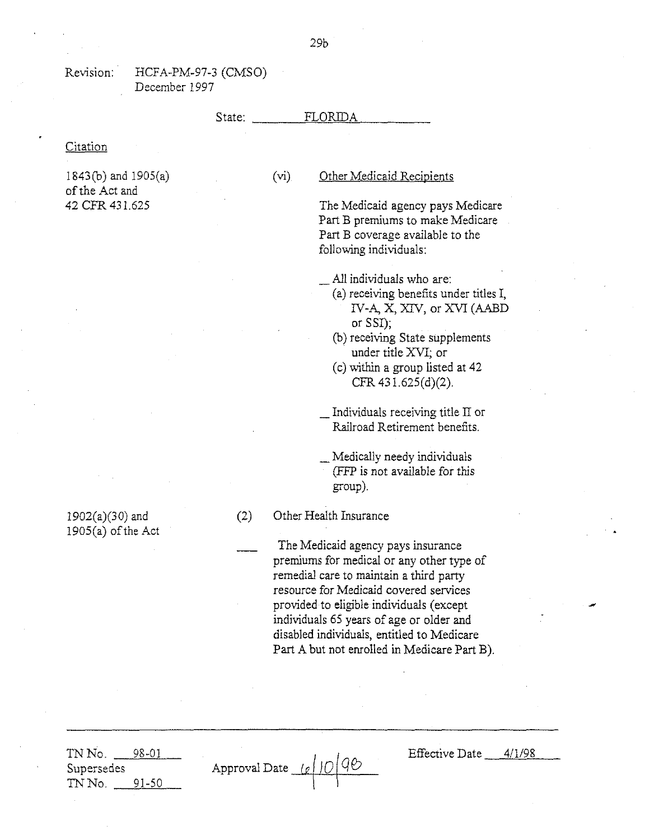# State:  $FLORIDA$

### **Citation**

1843(0) and 1905(a) of the Act and 42 CPR 431.625

# (vi) Other Medicaid Recipients

The Medicaid agency pays Medicare Part B premiums to make Medicare Part B coverage available to the following individuals:

All individuals who are:

- (a) receiving benefits under titles I, IV-A, X, XIV, or XVI (AABD or SSI);
- (b) receiving State supplements under title XVI; or
- $(c)$  within a group listed at 42 CFR 431.625(d)(2).

\_ Individuals receiving title II or Railroad Retirement benefits.

\_ Medically needy individuals (FFP is not available for this group).

(2) Other Health Insurance

The Medicaid agency pays insurance premiums for medical or any other type of remedial care to maintain a third party resource for Medicaid covered services provided to eligible individuals (except individuals 65 years of age or older and disabled individuals, entitled to Medicare Part A but not enrolled in Medicare Part B).

TN No. 98-01 Supersedes TN No. 91-50

Approval Date <u>(e|10 90</u>

Effective Date  $4/1/98$ 

1902(a)(30) and  $1905(a)$  of the Act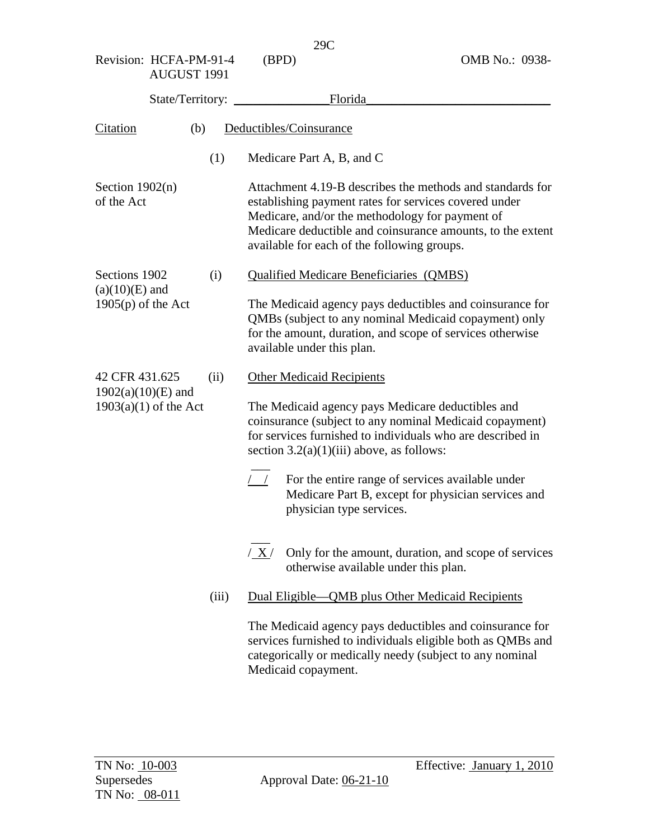| AUGUST 1991                                     |       |                                                                                                                                                                                                                                                                                    |
|-------------------------------------------------|-------|------------------------------------------------------------------------------------------------------------------------------------------------------------------------------------------------------------------------------------------------------------------------------------|
| State/Territory:                                |       | Florida                                                                                                                                                                                                                                                                            |
| Citation<br>(b)                                 |       | Deductibles/Coinsurance                                                                                                                                                                                                                                                            |
|                                                 | (1)   | Medicare Part A, B, and C                                                                                                                                                                                                                                                          |
| Section $1902(n)$<br>of the Act                 |       | Attachment 4.19-B describes the methods and standards for<br>establishing payment rates for services covered under<br>Medicare, and/or the methodology for payment of<br>Medicare deductible and coinsurance amounts, to the extent<br>available for each of the following groups. |
| Sections 1902                                   | (i)   | <b>Qualified Medicare Beneficiaries (QMBS)</b>                                                                                                                                                                                                                                     |
| $(a)(10)(E)$ and<br>$1905(p)$ of the Act        |       | The Medicaid agency pays deductibles and coinsurance for<br>QMBs (subject to any nominal Medicaid copayment) only<br>for the amount, duration, and scope of services otherwise<br>available under this plan.                                                                       |
| 42 CFR 431.625                                  | (ii)  | <b>Other Medicaid Recipients</b>                                                                                                                                                                                                                                                   |
| $1902(a)(10)(E)$ and<br>$1903(a)(1)$ of the Act |       | The Medicaid agency pays Medicare deductibles and<br>coinsurance (subject to any nominal Medicaid copayment)<br>for services furnished to individuals who are described in<br>section $3.2(a)(1)(iii)$ above, as follows:                                                          |
|                                                 |       | For the entire range of services available under<br>$\left  \begin{array}{c} \end{array} \right $<br>Medicare Part B, except for physician services and<br>physician type services.                                                                                                |
|                                                 |       | Only for the amount, duration, and scope of services<br>/ X /<br>otherwise available under this plan.                                                                                                                                                                              |
|                                                 | (iii) | Dual Eligible—QMB plus Other Medicaid Recipients                                                                                                                                                                                                                                   |
|                                                 |       | The Medicaid agency pays deductibles and coinsurance for<br>services furnished to individuals eligible both as QMBs and<br>categorically or medically needy (subject to any nominal<br>Medicaid copayment.                                                                         |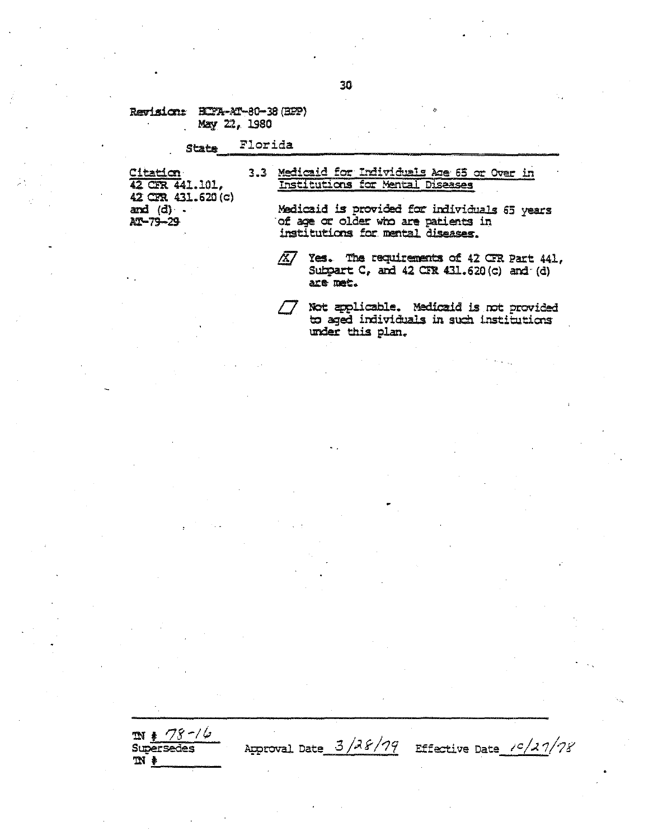## Revision: HI7A-AT-80-38 (BPP) May 22, 1980

### Florida **State**

Citation<br>42 CFR 441.101, 42 CFR 431.620 (c) and  $(d)$ . AT-79-29

 $m * 78 - 16$ 

**Supersedes** 

 $M$   $\ast$ 

## 3.3 Medicaid for Individuals Age 65 or Over in Institutions for Mental Diseases

Medicaid is provided for individuals 65 years of age or older who are patients in institutions for mental diseases.

 $\overline{\mathbb{X}}$ Yes. The requirements of 42 CFR Part 441, Subpart  $C_r$ , and  $42$  CTR  $431.620(c)$  and  $(d)$ are met.

Not applicable. Medicaid is not provided to aged individuals in such institutions under this plan.

Effective Date  $\frac{10}{2}$  /27/78

30

Approval Date  $3/38/79$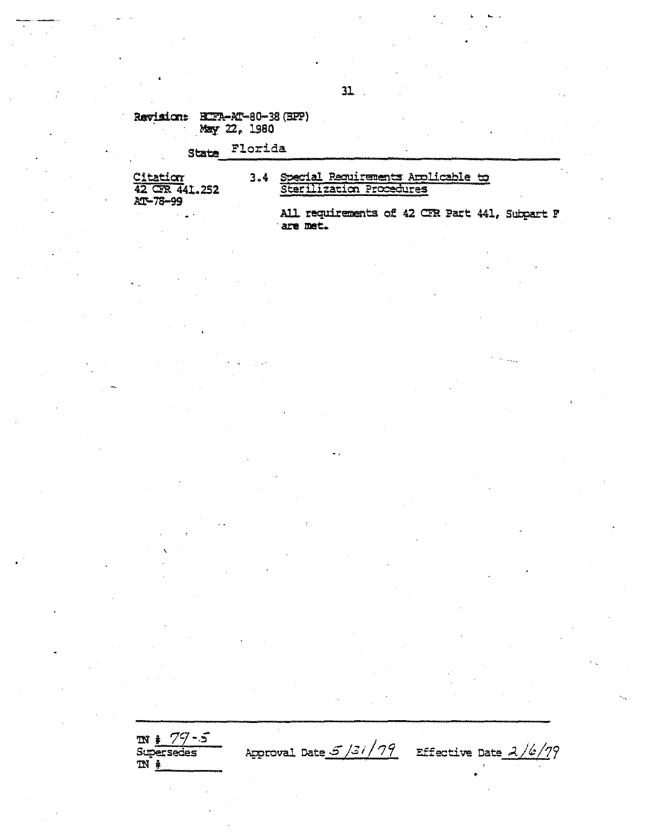Revision: BIFR-AT-80-38 (BPP) May 22, 1980

### Florida State

Citation<br>42 GR 441.252 AT-78-99

3.4 Special Requirements Arplicable to Sterilization Procedures

> All requirements of 42 CFR Part 441, Subpart F are met.

 $m$   $/ \frac{79 - 5}{$ <br>Supersedes Approval Date  $5/31/79$  Effective Date  $2/6/79$  $N^*$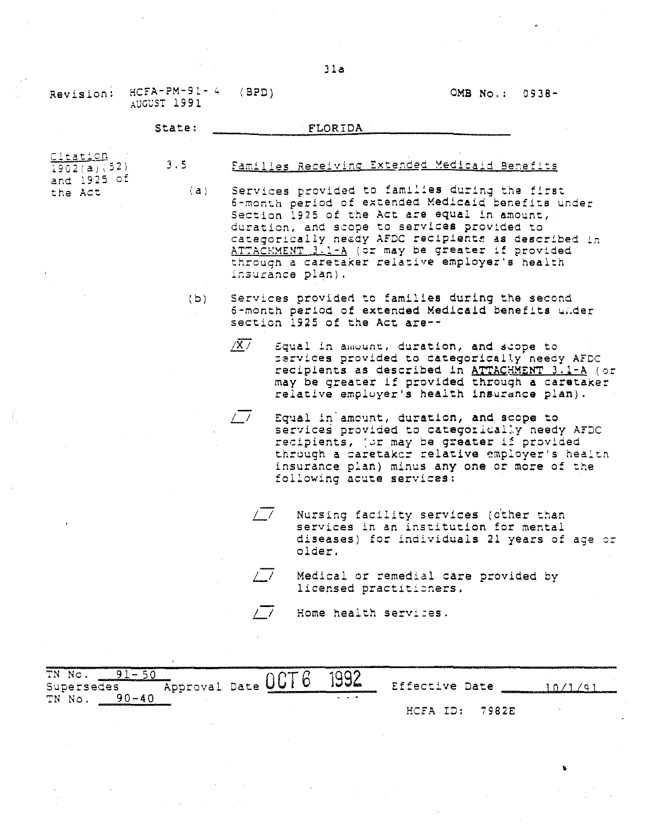AUGUST 1991 State: FLORIDA **Citation**  $\frac{1902(a)}{152}$ and 1925 of **the Act.** 3.5  $(a)$ Families Receiving Extended Medicaid Benefits Services provided to families during the first 6-month period of extended Medicaid benefits under Section 1925 of the Act are equal in amount, duration, and scope to services provided to categorically needy AFDC recipients as described in  $ATTAC+MENT$   $3.1-A$  (or may be greater if provided through a caretaker relative employer's health **.insurance plan).** (b) Services provided to families during the second 6-month periOd of extended Medicaid benefits ui.der section 1925 of the Act **are--**  $\sqrt{X/}$  Equal in amount, duration, and scope to services provided to categorically needy AFDC recipients as described in ATTACHMENT 3.1-A (or may be greater if provided through <sup>a</sup> caretaker relative employer's health insurance plan).

> L-I Equal in' amount, duration, and scope to services provided to categorically needy AFDC recipients, (or may be greater if provided through a caretaker relative employer's health insurance plan) minus anyone or more of the **following acute services:**

 $\sqrt{17}$  Nursing facility services (other than services in an institution for mental diseases) for individuals 21 years of age or older.

•

OMB No.: 0938-

Medical or remedial care provided by licensed practitioners,

/ / Home health services.

**Effective Date** TN No. 91-50 TN No. <u>91–50</u><br>Supersedes – Approval Date <mark>OCT 6 1992</mark> TN No. 90-40 HCFA IO: 7982E **10/1/0J**

Jla

(BPD)

Revision: HCFA-PM-91- 4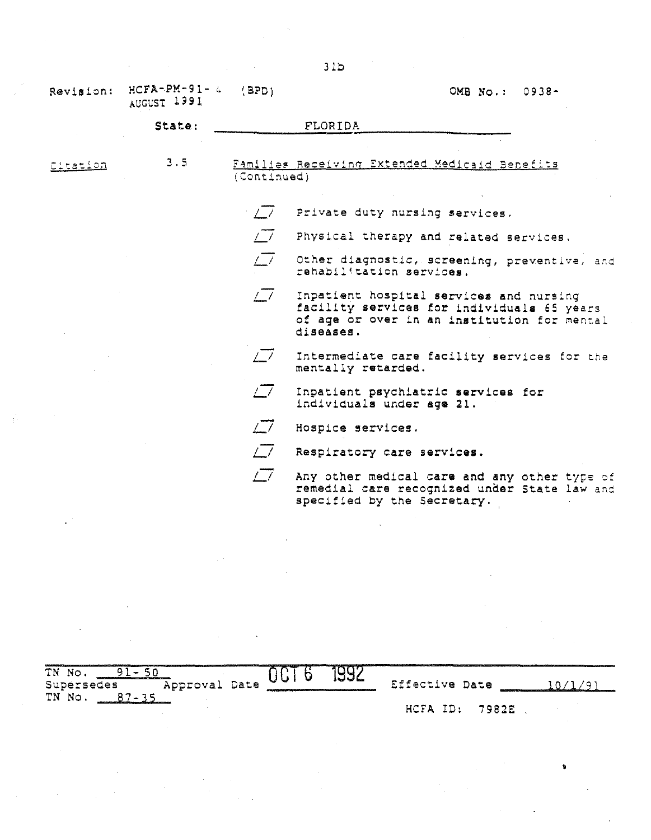| Revision: | $HCFA-PM-91-4$<br>AUGUST 1991 | (BPD)       | OMB No.:<br>$0938 -$                                                                                                                              |
|-----------|-------------------------------|-------------|---------------------------------------------------------------------------------------------------------------------------------------------------|
|           | State:                        |             | <b>FLORIDA</b>                                                                                                                                    |
|           |                               |             |                                                                                                                                                   |
| Citation  | 3.5                           | (Continued) | Families Receiving Extended Medicaid Benefits                                                                                                     |
|           |                               |             |                                                                                                                                                   |
|           |                               | $\sqrt{7}$  | Private duty nursing services.                                                                                                                    |
|           |                               | $\sqrt{7}$  | Physical therapy and related services.                                                                                                            |
|           |                               | $\sqrt{7}$  | Other diagnostic, screening, preventive, and<br>rehabilitation services.                                                                          |
|           |                               | $\sqrt{7}$  | Inpatient hospital services and nursing<br>facility services for individuals 65 years<br>of age or over in an institution for mental<br>diseases. |
|           |                               | $\sqrt{7}$  | Intermediate care facility services for the<br>mentally retarded.                                                                                 |
|           |                               | $\sqrt{7}$  | Inpatient psychiatric services for<br>individuals under age 21.                                                                                   |
|           |                               | $\sqrt{a}$  | Hospice services.                                                                                                                                 |
|           |                               | $\sqrt{7}$  | Respiratory care services.                                                                                                                        |
|           |                               | $\sqrt{7}$  | Any other medical care and any other type of<br>remedial care recognized under State law and<br>specified by the Secretary.                       |
|           |                               |             |                                                                                                                                                   |

| TN No.<br>Approval Date<br>Supersedes | a kalendari da camatan katalan kacamatan ing | iww6. | Effective Date | 1993 - Militar Adelaid (b. 1974) |  |
|---------------------------------------|----------------------------------------------|-------|----------------|----------------------------------|--|
| TN No.                                |                                              |       | HCFA ID:       | 7982E                            |  |

 $\label{eq:2.1} \mathcal{L}(\mathcal{L}^{\mathcal{L}}_{\mathcal{L}}(\mathcal{L}^{\mathcal{L}}_{\mathcal{L}}))\leq \mathcal{L}(\mathcal{L}^{\mathcal{L}}_{\mathcal{L}}(\mathcal{L}^{\mathcal{L}}_{\mathcal{L}}))$ 

 $\mathbf{e}^{(n)} = \mathbf{e}^{(n)}$